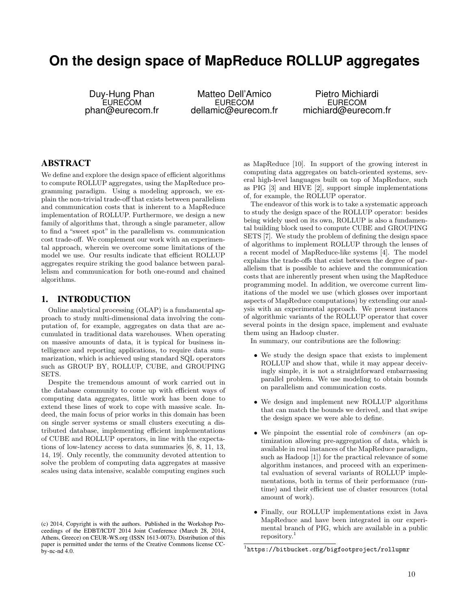# **On the design space of MapReduce ROLLUP aggregates**

Duy-Hung Phan EURECOM phan@eurecom.fr

Matteo Dell'Amico EURECOM dellamic@eurecom.fr

Pietro Michiardi EURECOM michiard@eurecom.fr

# ABSTRACT

We define and explore the design space of efficient algorithms to compute ROLLUP aggregates, using the MapReduce programming paradigm. Using a modeling approach, we explain the non-trivial trade-off that exists between parallelism and communication costs that is inherent to a MapReduce implementation of ROLLUP. Furthermore, we design a new family of algorithms that, through a single parameter, allow to find a "sweet spot" in the parallelism vs. communication cost trade-off. We complement our work with an experimental approach, wherein we overcome some limitations of the model we use. Our results indicate that efficient ROLLUP aggregates require striking the good balance between parallelism and communication for both one-round and chained algorithms.

#### 1. INTRODUCTION

Online analytical processing (OLAP) is a fundamental approach to study multi-dimensional data involving the computation of, for example, aggregates on data that are accumulated in traditional data warehouses. When operating on massive amounts of data, it is typical for business intelligence and reporting applications, to require data summarization, which is achieved using standard SQL operators such as GROUP BY, ROLLUP, CUBE, and GROUPING SETS.

Despite the tremendous amount of work carried out in the database community to come up with efficient ways of computing data aggregates, little work has been done to extend these lines of work to cope with massive scale. Indeed, the main focus of prior works in this domain has been on single server systems or small clusters executing a distributed database, implementing efficient implementations of CUBE and ROLLUP operators, in line with the expectations of low-latency access to data summaries [6, 8, 11, 13, 14, 19]. Only recently, the community devoted attention to solve the problem of computing data aggregates at massive scales using data intensive, scalable computing engines such

as MapReduce [10]. In support of the growing interest in computing data aggregates on batch-oriented systems, several high-level languages built on top of MapReduce, such as PIG [3] and HIVE [2], support simple implementations of, for example, the ROLLUP operator.

The endeavor of this work is to take a systematic approach to study the design space of the ROLLUP operator: besides being widely used on its own, ROLLUP is also a fundamental building block used to compute CUBE and GROUPING SETS [7]. We study the problem of defining the design space of algorithms to implement ROLLUP through the lenses of a recent model of MapReduce-like systems [4]. The model explains the trade-offs that exist between the degree of parallelism that is possible to achieve and the communication costs that are inherently present when using the MapReduce programming model. In addition, we overcome current limitations of the model we use (which glosses over important aspects of MapReduce computations) by extending our analysis with an experimental approach. We present instances of algorithmic variants of the ROLLUP operator that cover several points in the design space, implement and evaluate them using an Hadoop cluster.

In summary, our contributions are the following:

- We study the design space that exists to implement ROLLUP and show that, while it may appear deceivingly simple, it is not a straightforward embarrassing parallel problem. We use modeling to obtain bounds on parallelism and communication costs.
- We design and implement new ROLLUP algorithms that can match the bounds we derived, and that swipe the design space we were able to define.
- *•* We pinpoint the essential role of *combiners* (an optimization allowing pre-aggregation of data, which is available in real instances of the MapReduce paradigm, such as Hadoop [1]) for the practical relevance of some algorithm instances, and proceed with an experimental evaluation of several variants of ROLLUP implementations, both in terms of their performance (runtime) and their efficient use of cluster resources (total amount of work).
- *•* Finally, our ROLLUP implementations exist in Java MapReduce and have been integrated in our experimental branch of PIG, which are available in a public repository.<sup>1</sup>

<sup>(</sup>c) 2014, Copyright is with the authors. Published in the Workshop Proceedings of the EDBT/ICDT 2014 Joint Conference (March 28, 2014, Athens, Greece) on CEUR-WS.org (ISSN 1613-0073). Distribution of this paper is permitted under the terms of the Creative Commons license CCby-nc-nd 4.0.

<sup>1</sup>https://bitbucket.org/bigfootproject/rollupmr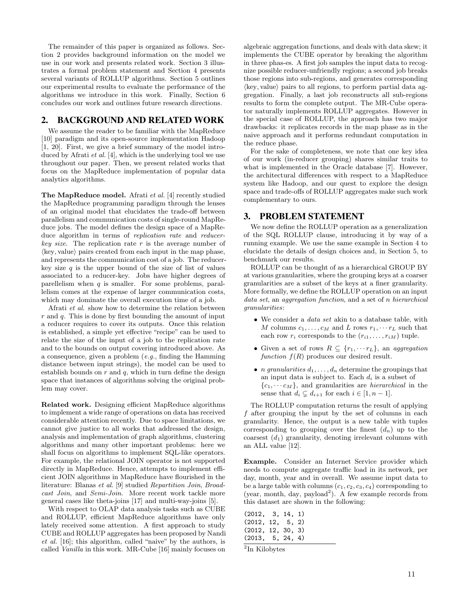The remainder of this paper is organized as follows. Section 2 provides background information on the model we use in our work and presents related work. Section 3 illustrates a formal problem statement and Section 4 presents several variants of ROLLUP algorithms. Section 5 outlines our experimental results to evaluate the performance of the algorithms we introduce in this work. Finally, Section 6 concludes our work and outlines future research directions.

# 2. BACKGROUND AND RELATED WORK

We assume the reader to be familiar with the MapReduce [10] paradigm and its open-source implementation Hadoop [1, 20]. First, we give a brief summary of the model introduced by Afrati *et al.* [4], which is the underlying tool we use throughout our paper. Then, we present related works that focus on the MapReduce implementation of popular data analytics algorithms.

The MapReduce model. Afrati *et al.* [4] recently studied the MapReduce programming paradigm through the lenses of an original model that elucidates the trade-off between parallelism and communication costs of single-round MapReduce jobs. The model defines the design space of a MapReduce algorithm in terms of *replication rate* and *reducerkey size*. The replication rate *r* is the average number of  $\langle \text{key}, \text{value} \rangle$  pairs created from each input in the map phase, and represents the communication cost of a job. The reducerkey size  $q$  is the upper bound of the size of list of values associated to a reducer-key. Jobs have higher degrees of parellelism when *q* is smaller. For some problems, parallelism comes at the expense of larger communication costs, which may dominate the overall execution time of a job.

Afrati *et al.* show how to determine the relation between *r* and *q*. This is done by first bounding the amount of input a reducer requires to cover its outputs. Once this relation is established, a simple yet effective "recipe" can be used to relate the size of the input of a job to the replication rate and to the bounds on output covering introduced above. As a consequence, given a problem (*e.g.*, finding the Hamming distance between input strings), the model can be used to establish bounds on *r* and *q*, which in turn define the design space that instances of algorithms solving the original problem may cover.

Related work. Designing efficient MapReduce algorithms to implement a wide range of operations on data has received considerable attention recently. Due to space limitations, we cannot give justice to all works that addressed the design, analysis and implementation of graph algorithms, clustering algorithms and many other important problems: here we shall focus on algorithms to implement SQL-like operators. For example, the relational JOIN operator is not supported directly in MapReduce. Hence, attempts to implement efficient JOIN algorithms in MapReduce have flourished in the literature: Blanas *et al.* [9] studied *Repartition Join*, *Broadcast Join*, and *Semi-Join*. More recent work tackle more general cases like theta-joins [17] and multi-way-joins [5].

With respect to OLAP data analysis tasks such as CUBE and ROLLUP, efficient MapReduce algorithms have only lately received some attention. A first approach to study CUBE and ROLLUP aggregates has been proposed by Nandi *et al.* [16]; this algorithm, called "naive" by the authors, is called *Vanilla* in this work. MR-Cube [16] mainly focuses on

algebraic aggregation functions, and deals with data skew; it implements the CUBE operator by breaking the algorithm in three phas-es. A first job samples the input data to recognize possible reducer-unfriendly regions; a second job breaks those regions into sub-regions, and generates corresponding  $\langle \text{key}, \text{value} \rangle$  pairs to all regions, to perform partial data aggregation. Finally, a last job reconstructs all sub-regions results to form the complete output. The MR-Cube operator naturally implements ROLLUP aggregates. However in the special case of ROLLUP, the approach has two major drawbacks: it replicates records in the map phase as in the naive approach and it performs redundant computation in the reduce phase.

For the sake of completeness, we note that one key idea of our work (in-reducer grouping) shares similar traits to what is implemented in the Oracle database [7]. However, the architectural differences with respect to a MapReduce system like Hadoop, and our quest to explore the design space and trade-offs of ROLLUP aggregates make such work complementary to ours.

## 3. PROBLEM STATEMENT

We now define the ROLLUP operation as a generalization of the SQL ROLLUP clause, introducing it by way of a running example. We use the same example in Section 4 to elucidate the details of design choices and, in Section 5, to benchmark our results.

ROLLUP can be thought of as a hierarchical GROUP BY at various granularities, where the grouping keys at a coarser granularities are a subset of the keys at a finer granularity. More formally, we define the ROLLUP operation on an input *data set*, an *aggregation function*, and a set of *n hierarchical granularities*:

- *•* We consider a *data set* akin to a database table, with *M* columns  $c_1, \ldots, c_M$  and *L* rows  $r_1, \ldots, r_L$  such that each row  $r_i$  corresponds to the  $(r_{i1}, \ldots, r_{iM})$  tuple.
- Given a set of rows  $R \subseteq \{r_1, \dots r_L\}$ , an *aggregation function*  $f(R)$  produces our desired result.
- *n granularities*  $d_1, \ldots, d_n$  determine the groupings that an input data is subject to. Each *d<sup>i</sup>* is a subset of  ${c_1, \dots, c_M}$ , and granularities are *hierarchical* in the sense that  $d_i \subsetneq d_{i+1}$  for each  $i \in [1, n-1]$ .

The ROLLUP computation returns the result of applying *f* after grouping the input by the set of columns in each granularity. Hence, the output is a new table with tuples corresponding to grouping over the finest  $(d_n)$  up to the coarsest (*d*1) granularity, denoting irrelevant columns with an ALL value [12].

Example. Consider an Internet Service provider which needs to compute aggregate traffic load in its network, per day, month, year and in overall. We assume input data to be a large table with columns  $(c_1, c_2, c_3, c_4)$  corresponding to (year, month, day, payload<sup>2</sup>). A few example records from this dataset are shown in the following:

| (2012, 3, 14, 1)  |  |  |  |
|-------------------|--|--|--|
| (2012, 12, 5, 2)  |  |  |  |
| (2012, 12, 30, 3) |  |  |  |
| (2013, 5, 24, 4)  |  |  |  |
|                   |  |  |  |

<sup>&</sup>lt;sup>2</sup>In Kilobytes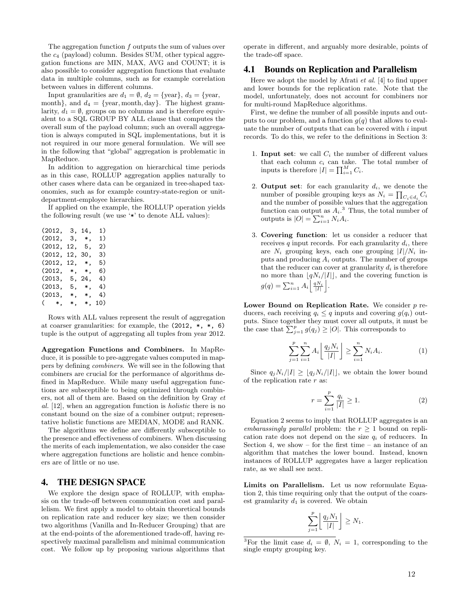The aggregation function *f* outputs the sum of values over the *c*<sup>4</sup> (payload) column. Besides SUM, other typical aggregation functions are MIN, MAX, AVG and COUNT; it is also possible to consider aggregation functions that evaluate data in multiple columns, such as for example correlation between values in different columns.

Input granularities are  $d_1 = \emptyset$ ,  $d_2 = \{ \text{year} \}, d_3 = \{ \text{year} \}$ month, and  $d_4 = \{$ year, month, day, The highest granularity,  $d_1 = \emptyset$ , groups on no columns and is therefore equivalent to a SQL GROUP BY ALL clause that computes the overall sum of the payload column; such an overall aggregation is always computed in SQL implementations, but it is not required in our more general formulation. We will see in the following that "global" aggregation is problematic in MapReduce.

In addition to aggregation on hierarchical time periods as in this case, ROLLUP aggregation applies naturally to other cases where data can be organized in tree-shaped taxonomies, such as for example country-state-region or unitdepartment-employee hierarchies.

If applied on the example, the ROLLUP operation yields the following result (we use '\*' to denote ALL values):

| (2012, | З,       | 14,      | 1)  |
|--------|----------|----------|-----|
| (2012, | З,       | $^*$ .   | 1)  |
| (2012, | 12.      | 5,       | 2)  |
| (2012, | 12.      | 30,      | 3)  |
| (2012, | 12.      | $\ast$ . | 5)  |
| (2012, | $^*$ .   | $\ast$ . | 6)  |
| (2013, | 5,       | 24.      | 4)  |
| (2013, | 5,       | $\ast$ . | 4)  |
| (2013. | *.       | $\ast$ . | 4)  |
| $($ *. | $\ast$ . | $\ast$ . | 10) |

Rows with ALL values represent the result of aggregation at coarser granularities: for example, the (2012, \*, \*, 6) tuple is the output of aggregating all tuples from year 2012.

Aggregation Functions and Combiners. In MapReduce, it is possible to pre-aggregate values computed in mappers by defining *combiners*. We will see in the following that combiners are crucial for the performance of algorithms defined in MapReduce. While many useful aggregation functions are subsceptible to being optimized through combiners, not all of them are. Based on the definition by Gray *et al.* [12], when an aggregation function is *holistic* there is no constant bound on the size of a combiner output; representative holistic functions are MEDIAN, MODE and RANK.

The algorithms we define are differently subsceptible to the presence and effectiveness of combiners. When discussing the merits of each implementation, we also consider the case where aggregation functions are holistic and hence combiners are of little or no use.

#### 4. THE DESIGN SPACE

We explore the design space of ROLLUP, with emphasis on the trade-off between communication cost and parallelism. We first apply a model to obtain theoretical bounds on replication rate and reducer key size; we then consider two algorithms (Vanilla and In-Reducer Grouping) that are at the end-points of the aforementioned trade-off, having respectively maximal parallelism and minimal communication cost. We follow up by proposing various algorithms that operate in different, and arguably more desirable, points of the trade-off space.

# 4.1 Bounds on Replication and Parallelism

Here we adopt the model by Afrati *et al.* [4] to find upper and lower bounds for the replication rate. Note that the model, unfortunately, does not account for combiners nor for multi-round MapReduce algorithms.

First, we define the number of all possible inputs and outputs to our problem, and a function  $g(q)$  that allows to evaluate the number of outputs that can be covered with *i* input records. To do this, we refer to the definitions in Section 3:

- 1. **Input set:** we call  $C_i$  the number of different values that each column *c<sup>i</sup>* can take. The total number of inputs is therefore  $|I| = \prod_{i=1}^{M} C_i$ .
- 2. Output set: for each granularity  $d_i$ , we denote the number of possible grouping keys as  $N_i = \prod_{C_i \in d_i} C_i$ and the number of possible values that the aggregation function can output as  $A_i$ <sup>3</sup>. Thus, the total number of outputs is  $|O| = \sum_{i=1}^{n} N_i A_i$ .
- 3. Covering function: let us consider a reducer that receives  $q$  input records. For each granularity  $d_i$ , there are  $N_i$  grouping keys, each one grouping  $|I|/N_i$  inputs and producing *A<sup>i</sup>* outputs. The number of groups that the reducer can cover at granularity  $d_i$  is therefore no more than  $\left\lfloor qN_i/|I|\right\rfloor$ , and the covering function is  $g(q) = \sum_{i=1}^{n} A_i \left[ \frac{qN_i}{|I|} \right]$ k *.*

Lower Bound on Replication Rate. We consider *p* reducers, each receiving  $q_i \leq q$  inputs and covering  $g(q_i)$  outputs. Since together they must cover all outputs, it must be the case that  $\sum_{j=1}^{p} g(q_j) \geq |O|$ . This corresponds to

$$
\sum_{j=1}^{p} \sum_{i=1}^{n} A_i \left[ \frac{q_j N_i}{|I|} \right] \ge \sum_{i=1}^{n} N_i A_i.
$$
 (1)

Since  $q_j N_i / |I| \geq |q_j N_i / |I|$ , we obtain the lower bound of the replication rate *r* as:

$$
r = \sum_{i=1}^{p} \frac{q_i}{|I|} \ge 1.
$$
 (2)

Equation 2 seems to imply that ROLLUP aggregates is an *embarassingly parallel* problem: the  $r \geq 1$  bound on replication rate does not depend on the size  $q_i$  of reducers. In Section 4, we show – for the first time – an instance of an algorithm that matches the lower bound. Instead, known instances of ROLLUP aggregates have a larger replication rate, as we shall see next.

Limits on Parallelism. Let us now reformulate Equation 2, this time requiring only that the output of the coarsest granularity  $d_1$  is covered. We obtain

$$
\sum_{j=1}^p \left\lfloor \frac{q_j N_1}{|I|} \right\rfloor \ge N_1.
$$

<sup>&</sup>lt;sup>3</sup>For the limit case  $d_i = \emptyset$ ,  $N_i = 1$ , corresponding to the single empty grouping key.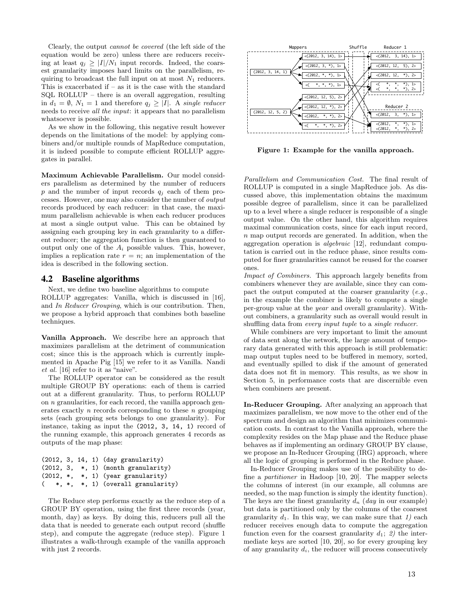Clearly, the output *cannot be covered* (the left side of the equation would be zero) unless there are reducers receiving at least  $q_j \geq |I|/N_1$  input records. Indeed, the coarsest granularity imposes hard limits on the parallelism, requiring to broadcast the full input on at most  $N_1$  reducers. This is exacerbated if  $-$  as it is the case with the standard SQL ROLLUP – there is an overall aggregation, resulting in  $d_1 = \emptyset$ ,  $N_1 = 1$  and therefore  $q_j \geq |I|$ . A *single reducer* needs to receive *all the input*: it appears that no parallelism whatsoever is possible.

As we show in the following, this negative result however depends on the limitations of the model: by applying combiners and/or multiple rounds of MapReduce computation, it is indeed possible to compute efficient ROLLUP aggregates in parallel.

Maximum Achievable Parallelism. Our model considers parallelism as determined by the number of reducers  $p$  and the number of input records  $q_i$  each of them processes. However, one may also consider the number of *output* records produced by each reducer: in that case, the maximum parallelism achievable is when each reducer produces at most a single output value. This can be obtained by assigning each grouping key in each granularity to a different reducer; the aggregation function is then guaranteed to output only one of the *A<sup>i</sup>* possible values. This, however, implies a replication rate  $r = n$ ; an implementation of the idea is described in the following section.

#### 4.2 Baseline algorithms

Next, we define two baseline algorithms to compute ROLLUP aggregates: Vanilla, which is discussed in [16], and *In Reducer Grouping*, which is our contribution. Then, we propose a hybrid approach that combines both baseline techniques.

Vanilla Approach. We describe here an approach that maximizes parallelism at the detriment of communication cost; since this is the approach which is currently implemented in Apache Pig [15] we refer to it as Vanilla. Nandi *et al.* [16] refer to it as "naive".

The ROLLUP operator can be considered as the result multiple GROUP BY operations: each of them is carried out at a different granularity. Thus, to perform ROLLUP on *n* granularities, for each record, the vanilla approach generates exactly *n* records corresponding to these *n* grouping sets (each grouping sets belongs to one granularity). For instance, taking as input the (2012, 3, 14, 1) record of the running example, this approach generates 4 records as outputs of the map phase:

|  |  | $(2012, 3, 14, 1)$ (day granularity)   |
|--|--|----------------------------------------|
|  |  | $(2012, 3, * , 1)$ (month granularity) |
|  |  | $(2012, *, *, 1)$ (year granularity)   |
|  |  | $(*, *, *, 1)$ (overall granularity)   |

The Reduce step performs exactly as the reduce step of a GROUP BY operation, using the first three records (year, month, day) as keys. By doing this, reducers pull all the data that is needed to generate each output record (shuffle step), and compute the aggregate (reduce step). Figure 1 illustrates a walk-through example of the vanilla approach with just 2 records.



Figure 1: Example for the vanilla approach.

*Parallelism and Communication Cost.* The final result of ROLLUP is computed in a single MapReduce job. As discussed above, this implementation obtains the maximum possible degree of parallelism, since it can be parallelized up to a level where a single reducer is responsible of a single output value. On the other hand, this algorithm requires maximal communication costs, since for each input record, *n* map output records are generated. In addition, when the aggregation operation is *algebraic* [12], redundant computation is carried out in the reduce phase, since results computed for finer granularities cannot be reused for the coarser ones.

*Impact of Combiners.* This approach largely benefits from combiners whenever they are available, since they can compact the output computed at the coarser granularity (*e.g.*, in the example the combiner is likely to compute a single per-group value at the *year* and overall granularity). Without combiners, a granularity such as overall would result in shuffling data from *every input tuple* to a *single reducer*.

While combiners are very important to limit the amount of data sent along the network, the large amount of temporary data generated with this approach is still problematic: map output tuples need to be buffered in memory, sorted, and eventually spilled to disk if the amount of generated data does not fit in memory. This results, as we show in Section 5, in performance costs that are discernible even when combiners are present.

In-Reducer Grouping. After analyzing an approach that maximizes parallelism, we now move to the other end of the spectrum and design an algorithm that minimizes communication costs. In contrast to the Vanilla approach, where the complexity resides on the Map phase and the Reduce phase behaves as if implementing an ordinary GROUP BY clause, we propose an In-Reducer Grouping (IRG) approach, where all the logic of grouping is performed in the Reduce phase.

In-Reducer Grouping makes use of the possibility to define a *partitioner* in Hadoop [10, 20]. The mapper selects the columns of interest (in our example, all columns are needed, so the map function is simply the identity function). The keys are the finest granularity *d<sup>n</sup>* (*day* in our example) but data is partitioned only by the columns of the coarsest granularity  $d_1$ . In this way, we can make sure that 1) each reducer receives enough data to compute the aggregation function even for the coarsest granularity  $d_1$ ; 2) the intermediate keys are sorted [10, 20], so for every grouping key of any granularity  $d_i$ , the reducer will process consecutively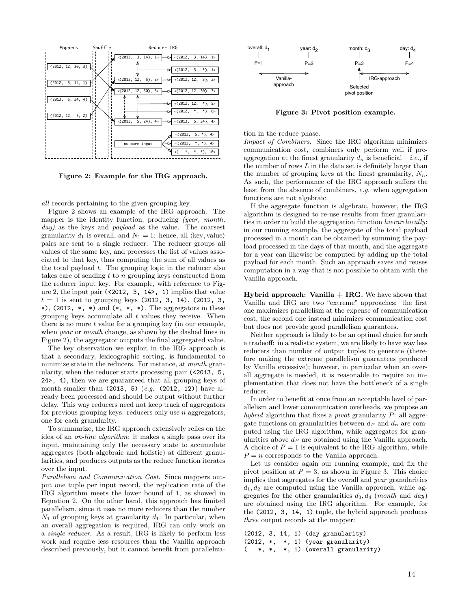

Figure 2: Example for the IRG approach.

*all* records pertaining to the given grouping key.

Figure 2 shows an example of the IRG approach. The mapper is the identity function, producing *(year, month, day)* as the keys and *payload* as the value. The coarsest granularity  $d_1$  is overall, and  $N_1 = 1$ : hence, all  $\langle \text{key}, \text{value} \rangle$ pairs are sent to a single reducer. The reducer groups all values of the same key, and processes the list of values associated to that key, thus computing the sum of all values as the total payload *t*. The grouping logic in the reducer also takes care of sending *t* to *n* grouping keys constructed from the reducer input key. For example, with reference to Figure 2, the input pair (<2012, 3, 14>, 1) implies that value  $t = 1$  is sent to grouping keys (2012, 3, 14), (2012, 3, \*), (2012, \*, \*) and  $(*, *, *)$ . The aggregators in these grouping keys accumulate all *t* values they receive. When there is no more *t* value for a grouping key (in our example, when *year* or *month* change, as shown by the dashed lines in Figure 2), the aggregator outputs the final aggregated value.

The key observation we exploit in the IRG approach is that a secondary, lexicographic sorting, is fundamental to minimize state in the reducers. For instance, at *month* granularity, when the reducer starts processing pair (<2013, 5, 24>, 4), then we are guaranteed that all grouping keys of month smaller than (2013, 5) (*e.g.* (2012, 12)) have already been processed and should be output without further delay. This way reducers need not keep track of aggregators for previous grouping keys: reducers only use *n* aggregators, one for each granularity.

To summarize, the IRG approach extensively relies on the idea of an *on-line algorithm*: it makes a single pass over its input, maintaining only the necessary state to accumulate aggregates (both algebraic and holistic) at different granularities, and produces outputs as the reduce function iterates over the input.

*Parallelism and Communication Cost.* Since mappers output one tuple per input record, the replication rate of the IRG algorithm meets the lower bound of 1, as showed in Equation 2. On the other hand, this approach has limited parallelism, since it uses no more reducers than the number  $N_1$  of grouping keys at granularity  $d_1$ . In particular, when an overall aggregation is required, IRG can only work on a *single reducer*. As a result, IRG is likely to perform less work and require less resources than the Vanilla approach described previously, but it cannot benefit from paralleliza-



Figure 3: Pivot position example.

tion in the reduce phase.

*Impact of Combiners.* Since the IRG algorithm minimizes communication cost, combiners only perform well if preaggregation at the finest granularity  $d_n$  is beneficial – *i.e.*, if the number of rows *L* in the data set is definitely larger than the number of grouping keys at the finest granularity,  $N_n$ . As such, the performance of the IRG approach suffers the least from the absence of combiners, *e.g.* when aggregation functions are not algebraic.

If the aggregate function is algebraic, however, the IRG algorithm is designed to re-use results from finer granularities in order to build the aggregation function *hierarchically*: in our running example, the aggregate of the total payload processed in a month can be obtained by summing the payload processed in the days of that month, and the aggregate for a year can likewise be computed by adding up the total payload for each month. Such an approach saves and reuses computation in a way that is not possible to obtain with the Vanilla approach.

**Hybrid approach:** Vanilla  $+$  IRG. We have shown that Vanilla and IRG are two "extreme" approaches: the first one maximizes parallelism at the expense of communication cost, the second one instead minimizes communication cost but does not provide good parallelism guarantees.

Neither approach is likely to be an optimal choice for such a tradeoff: in a realistic system, we are likely to have way less reducers than number of output tuples to generate (therefore making the extreme parallelism guarantees produced by Vanilla excessive); however, in particular when an overall aggregate is needed, it is reasonable to require an implementation that does not have the bottleneck of a single reducer.

In order to benefit at once from an acceptable level of parallelism and lower communication overheads, we propose an *hybrid* algorithm that fixes a *pivot* granularity *P*: all aggregate functions on granularities between  $d_P$  and  $d_n$  are computed using the IRG algorithm, while aggregates for granularities above *d<sup>P</sup>* are obtained using the Vanilla approach. A choice of  $P = 1$  is equivalent to the IRG algorithm, while  $P = n$  corresponds to the Vanilla approach.

Let us consider again our running example, and fix the pivot position at  $P = 3$ , as shown in Figure 3. This choice implies that aggregates for the overall and *year* granularities  $d_1, d_2$  are computed using the Vanilla approach, while aggregates for the other granularities *d*3*, d*<sup>4</sup> (*month* and *day*) are obtained using the IRG algorithm. For example, for the (2012, 3, 14, 1) tuple, the hybrid approach produces *three* output records at the mapper:

|  |  | $(2012, 3, 14, 1)$ (day granularity) |
|--|--|--------------------------------------|
|  |  | $(2012, *, *, 1)$ (year granularity) |
|  |  | $(*, *, *, 1)$ (overall granularity) |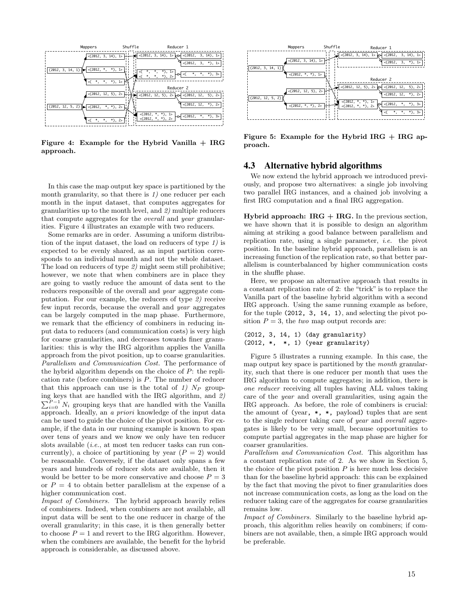

Figure 4: Example for the Hybrid Vanilla + IRG approach.

In this case the map output key space is partitioned by the month granularity, so that there is *1)* one reducer per each month in the input dataset, that computes aggregates for granularities up to the month level, and *2)* multiple reducers that compute aggregates for the *overall* and *year* granularities. Figure 4 illustrates an example with two reducers.

Some remarks are in order. Assuming a uniform distribution of the input dataset, the load on reducers of type *1)* is expected to be evenly shared, as an input partition corresponds to an individual month and not the whole dataset. The load on reducers of type *2)* might seem still prohibitive; however, we note that when combiners are in place they are going to vastly reduce the amount of data sent to the reducers responsible of the overall and *year* aggregate computation. For our example, the reducers of type *2)* receive few input records, because the overall and *year* aggregates can be largely computed in the map phase. Furthermore, we remark that the efficiency of combiners in reducing input data to reducers (and communication costs) is very high for coarse granularities, and decreases towards finer granularities: this is why the IRG algorithm applies the Vanilla approach from the pivot position, up to coarse granularities. *Parallelism and Communication Cost.* The performance of the hybrid algorithm depends on the choice of *P*: the replication rate (before combiners) is *P*. The number of reducer that this approach can use is the total of 1)  $N_P$  grouping keys that are handled with the IRG algorithm, and *2)*  $\sum_{i=0}^{P-1} N_i$  grouping keys that are handled with the Vanilla approach. Ideally, an *a priori* knowledge of the input data can be used to guide the choice of the pivot position. For example, if the data in our running example is known to span over tens of years and we know we only have ten reducer slots available (*i.e.*, at most ten reducer tasks can run concurrently), a choice of partitioning by year  $(P = 2)$  would be reasonable. Conversely, if the dataset only spans a few years and hundreds of reducer slots are available, then it would be better to be more conservative and choose  $P = 3$ or  $P = 4$  to obtain better parallelism at the expense of a higher communication cost.

*Impact of Combiners.* The hybrid approach heavily relies of combiners. Indeed, when combiners are not available, all input data will be sent to the one reducer in charge of the overall granularity; in this case, it is then generally better to choose  $P = 1$  and revert to the IRG algorithm. However, when the combiners are available, the benefit for the hybrid approach is considerable, as discussed above.



Figure 5: Example for the Hybrid IRG  $+$  IRG approach.

#### 4.3 Alternative hybrid algorithms

We now extend the hybrid approach we introduced previously, and propose two alternatives: a single job involving two parallel IRG instances, and a chained job involving a first IRG computation and a final IRG aggregation.

Hybrid approach:  $IRG + IRG$ . In the previous section, we have shown that it is possible to design an algorithm aiming at striking a good balance between parallelism and replication rate, using a single parameter, *i.e.* the pivot position. In the baseline hybrid approach, parallelism is an increasing function of the replication rate, so that better parallelism is counterbalanced by higher communication costs in the shuffle phase.

Here, we propose an alternative approach that results in a constant replication rate of 2: the "trick" is to replace the Vanilla part of the baseline hybrid algorithm with a second IRG approach. Using the same running example as before, for the tuple (2012, 3, 14, 1), and selecting the pivot position  $P = 3$ , the *two* map output records are:

```
(2012, 3, 14, 1) (day granularity)
(2012, *, *, 1) (year granularity)
```
Figure 5 illustrates a running example. In this case, the map output key space is partitioned by the *month* granularity, such that there is one reducer per month that uses the IRG algorithm to compute aggregates; in addition, there is *one reducer* receiving all tuples having ALL values taking care of the *year* and overall granularities, using again the IRG approach. As before, the role of combiners is crucial: the amount of (year, \*, \*, payload) tuples that are sent to the single reducer taking care of *year* and *overall* aggregates is likely to be very small, because opportunities to compute partial aggregates in the map phase are higher for coarser granularities.

*Parallelism and Communication Cost.* This algorithm has a constant replication rate of 2. As we show in Section 5, the choice of the pivot position *P* is here much less decisive than for the baseline hybrid approach: this can be explained by the fact that moving the pivot to finer granularities does not increase communication costs, as long as the load on the reducer taking care of the aggregates for coarse granularities remains low.

*Impact of Combiners.* Similarly to the baseline hybrid approach, this algorithm relies heavily on combiners; if combiners are not available, then, a simple IRG approach would be preferable.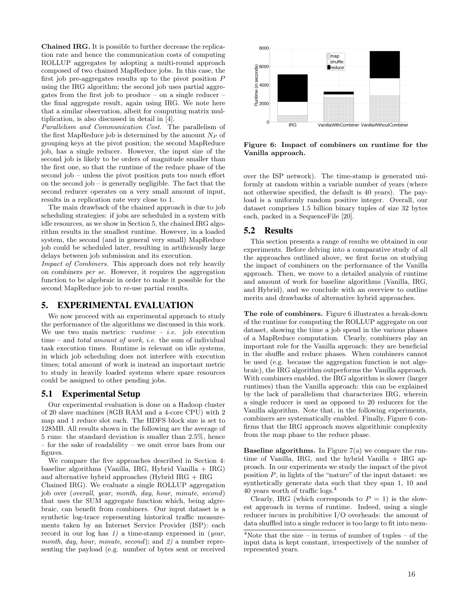Chained IRG. It is possible to further decrease the replication rate and hence the communication costs of computing ROLLUP aggregates by adopting a multi-round approach composed of two chained MapReduce jobs. In this case, the first job pre-aggregates results up to the pivot position *P* using the IRG algorithm; the second job uses partial aggregates from the first job to produce – on a single reducer – the final aggregate result, again using IRG. We note here that a similar observation, albeit for computing matrix multiplication, is also discussed in detail in [4].

*Parallelism and Communication Cost.* The parallelism of the first MapReduce job is determined by the amount *N<sup>P</sup>* of grouping keys at the pivot position; the second MapReduce job, has a single reducer. However, the input size of the second job is likely to be orders of magnitude smaller than the first one, so that the runtime of the reduce phase of the second job – unless the pivot position puts too much effort on the second job – is generally negligible. The fact that the second reducer operates on a very small amount of input, results in a replication rate very close to 1.

The main drawback of the chained approach is due to job scheduling strategies: if jobs are scheduled in a system with idle resources, as we show in Section 5, the chained IRG algorithm results in the smallest runtime. However, in a loaded system, the second (and in general very small) MapReduce job could be scheduled later, resulting in artificiously large delays between job submission and its execution.

*Impact of Combiners.* This approach does not rely heavily on combiners *per se*. However, it requires the aggregation function to be algebraic in order to make it possible for the second MapReduce job to re-use partial results.

#### 5. EXPERIMENTAL EVALUATION

We now proceed with an experimental approach to study the performance of the algorithms we discussed in this work. We use two main metrics: *runtime* – *i.e.* job execution time – and *total amount of work*, *i.e.* the sum of individual task execution times. Runtime is relevant on idle systems, in which job scheduling does not interfere with execution times; total amount of work is instead an important metric to study in heavily loaded systems where spare resources could be assigned to other pending jobs.

#### 5.1 Experimental Setup

Our experimental evaluation is done on a Hadoop cluster of 20 slave machines (8GB RAM and a 4-core CPU) with 2 map and 1 reduce slot each. The HDFS block size is set to 128MB. All results shown in the following are the average of 5 runs: the standard deviation is smaller than 2.5%, hence – for the sake of readability – we omit error bars from our figures.

We compare the five approaches described in Section 4: baseline algorithms (Vanilla, IRG, Hybrid Vanilla  $+$  IRG) and alternative hybrid approaches (Hybrid IRG + IRG Chained IRG). We evaluate a single ROLLUP aggregation job over (*overall*, *year*, *month*, *day*, *hour*, *minute*, *second*) that uses the SUM aggregate function which, being algrebraic, can benefit from combiners. Our input dataset is a synthetic log-trace representing historical traffic measurements taken by an Internet Service Provider (ISP): each record in our log has *1)* a time-stamp expressed in (*year*,

*month*, *day*, *hour*, *minute*, *second*); and *2)* a number representing the payload (e.g. number of bytes sent or received



Figure 6: Impact of combiners on runtime for the Vanilla approach.

over the ISP network). The time-stamp is generated uniformly at random within a variable number of years (where not otherwise specified, the default is 40 years). The payload is a uniformly random positive integer. Overall, our dataset comprises 1.5 billion binary tuples of size 32 bytes each, packed in a SequenceFile [20].

#### 5.2 Results

This section presents a range of results we obtained in our experiments. Before delving into a comparative study of all the approaches outlined above, we first focus on studying the impact of combiners on the performance of the Vanilla approach. Then, we move to a detailed analysis of runtime and amount of work for baseline algorithms (Vanilla, IRG, and Hybrid), and we conclude with an overview to outline merits and drawbacks of alternative hybrid approaches.

The role of combiners. Figure 6 illustrates a break-down of the runtime for computing the ROLLUP aggregate on our dataset, showing the time a job spend in the various phases of a MapReduce computation. Clearly, combiners play an important role for the Vanilla approach: they are beneficial in the shuffle and reduce phases. When combiners cannot be used (e.g. because the aggregation function is not algebraic), the IRG algorithm outperforms the Vanilla approach. With combiners enabled, the IRG algorithm is slower (larger runtimes) than the Vanilla approach: this can be explained by the lack of parallelism that characterizes IRG, wherein a single reducer is used as opposed to 20 reducers for the Vanilla algorithm. Note that, in the following experiments, combiners are systematically enabled. Finally, Figure 6 confirms that the IRG approach moves algorithmic complexity from the map phase to the reduce phase.

**Baseline algorithms.** In Figure  $7(a)$  we compare the runtime of Vanilla, IRG, and the hybrid Vanilla + IRG approach. In our experiments we study the impact of the pivot position *P*, in lights of the "nature" of the input dataset: we synthetically generate data such that they span 1, 10 and 40 years worth of traffic  $\log s$ .<sup>4</sup>

Clearly, IRG (which corresponds to  $P = 1$ ) is the slowest approach in terms of runtime. Indeed, using a single reducer incurs in prohibitive I/O overheads: the amount of data shuffled into a single reducer is too large to fit into mem-

<sup>&</sup>lt;sup>4</sup>Note that the size – in terms of number of tuples – of the input data is kept constant, irrespectively of the number of represented years.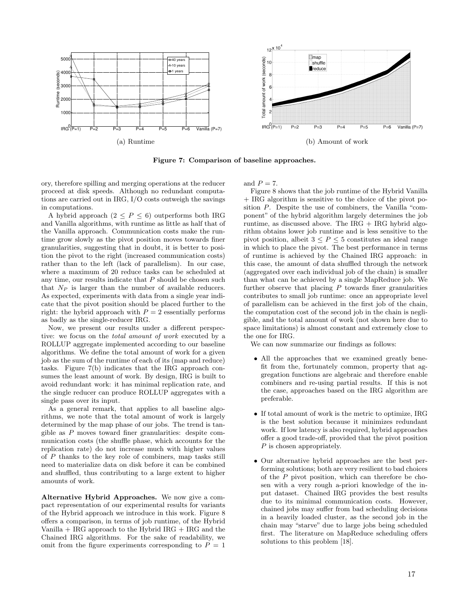

Figure 7: Comparison of baseline approaches.

ory, therefore spilling and merging operations at the reducer proceed at disk speeds. Although no redundant computations are carried out in IRG, I/O costs outweigh the savings in computations.

A hybrid approach  $(2 \le P \le 6)$  outperforms both IRG and Vanilla algorithms, with runtime as little as half that of the Vanilla approach. Communication costs make the runtime grow slowly as the pivot position moves towards finer granularities, suggesting that in doubt, it is better to position the pivot to the right (increased communication costs) rather than to the left (lack of parallelism). In our case, where a maximum of 20 reduce tasks can be scheduled at any time, our results indicate that *P* should be chosen such that *N<sup>P</sup>* is larger than the number of available reducers. As expected, experiments with data from a single year indicate that the pivot position should be placed further to the right: the hybrid approach with  $P = 2$  essentially performs as badly as the single-reducer IRG.

Now, we present our results under a different perspective: we focus on the *total amount of work* executed by a ROLLUP aggregate implemented according to our baseline algorithms. We define the total amount of work for a given job as the sum of the runtime of each of its (map and reduce) tasks. Figure 7(b) indicates that the IRG approach consumes the least amount of work. By design, IRG is built to avoid redundant work: it has minimal replication rate, and the single reducer can produce ROLLUP aggregates with a single pass over its input.

As a general remark, that applies to all baseline algorithms, we note that the total amount of work is largely determined by the map phase of our jobs. The trend is tangible as *P* moves toward finer granularities: despite communication costs (the shuffle phase, which accounts for the replication rate) do not increase much with higher values of *P* thanks to the key role of combiners, map tasks still need to materialize data on disk before it can be combined and shuffled, thus contributing to a large extent to higher amounts of work.

Alternative Hybrid Approaches. We now give a compact representation of our experimental results for variants of the Hybrid approach we introduce in this work. Figure 8 offers a comparison, in terms of job runtime, of the Hybrid Vanilla  $+$  IRG approach to the Hybrid IRG  $+$  IRG and the Chained IRG algorithms. For the sake of readability, we omit from the figure experiments corresponding to  $P = 1$ 

and  $P = 7$ .

Figure 8 shows that the job runtime of the Hybrid Vanilla + IRG algorithm is sensitive to the choice of the pivot position *P*. Despite the use of combiners, the Vanilla "component" of the hybrid algorithm largely determines the job runtime, as discussed above. The  $IRG + IRG$  hybrid algorithm obtains lower job runtime and is less sensitive to the pivot position, albeit  $3 \leq P \leq 5$  constitutes an ideal range in which to place the pivot. The best performance in terms of runtime is achieved by the Chained IRG approach: in this case, the amount of data shuffled through the network (aggregated over each individual job of the chain) is smaller than what can be achieved by a single MapReduce job. We further observe that placing *P* towards finer granularities contributes to small job runtime: once an appropriate level of parallelism can be achieved in the first job of the chain, the computation cost of the second job in the chain is negligible, and the total amount of work (not shown here due to space limitations) is almost constant and extremely close to the one for IRG.

We can now summarize our findings as follows:

- All the approaches that we examined greatly benefit from the, fortunately common, property that aggregation functions are algebraic and therefore enable combiners and re-using partial results. If this is not the case, approaches based on the IRG algorithm are preferable.
- *•* If total amount of work is the metric to optimize, IRG is the best solution because it minimizes redundant work. If low latency is also required, hybrid approaches offer a good trade-off, provided that the pivot position *P* is chosen appropriately.
- *•* Our alternative hybrid approaches are the best performing solutions; both are very resilient to bad choices of the *P* pivot position, which can therefore be chosen with a very rough a-priori knowledge of the input dataset. Chained IRG provides the best results due to its minimal communication costs. However, chained jobs may suffer from bad scheduling decisions in a heavily loaded cluster, as the second job in the chain may "starve" due to large jobs being scheduled first. The literature on MapReduce scheduling offers solutions to this problem [18].